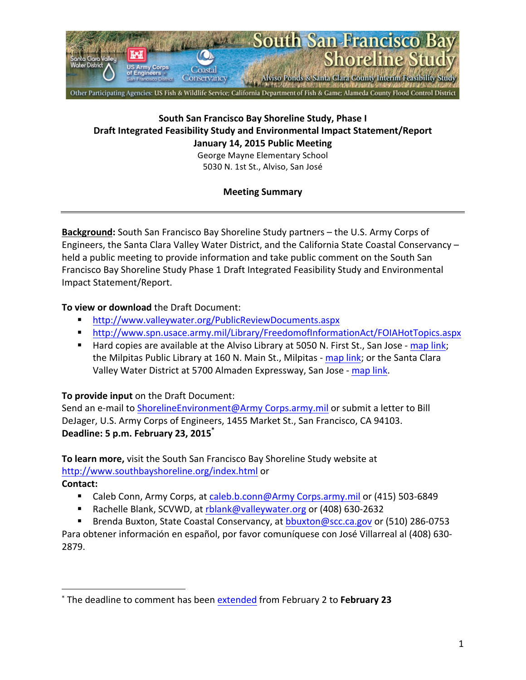

## **South San Francisco Bay Shoreline Study, Phase I** Draft Integrated Feasibility Study and Environmental Impact Statement/Report **January 14, 2015 Public Meeting**

George Mayne Elementary School 5030 N. 1st St., Alviso, San José

# **Meeting Summary**

**Background:** South San Francisco Bay Shoreline Study partners – the U.S. Army Corps of Engineers, the Santa Clara Valley Water District, and the California State Coastal Conservancy held a public meeting to provide information and take public comment on the South San Francisco Bay Shoreline Study Phase 1 Draft Integrated Feasibility Study and Environmental Impact Statement/Report.

## **To view or download the Draft Document:**

- ! http://www.valleywater.org/PublicReviewDocuments.aspx
- ! http://www.spn.usace.army.mil/Library/FreedomofInformationAct/FOIAHotTopics.aspx
- Hard copies are available at the Alviso Library at 5050 N. First St., San Jose map link; the Milpitas Public Library at 160 N. Main St., Milpitas - map link; or the Santa Clara Valley Water District at 5700 Almaden Expressway, San Jose - map link.

## **To provide input** on the Draft Document:

 

Send an e-mail to ShorelineEnvironment@Army Corps.army.mil or submit a letter to Bill DeJager, U.S. Army Corps of Engineers, 1455 Market St., San Francisco, CA 94103. Deadline: 5 p.m. February 23, 2015<sup>\*</sup>

**To learn more,** visit the South San Francisco Bay Shoreline Study website at http://www.southbayshoreline.org/index.html or 

**Contact:**

- **E** Caleb Conn, Army Corps, at caleb.b.conn@Army Corps.army.mil or (415) 503-6849
- Rachelle Blank, SCVWD, at rblank@valleywater.org or (408) 630-2632
- Brenda Buxton, State Coastal Conservancy, at bbuxton@scc.ca.gov or (510) 286-0753

Para obtener información en español, por favor comuníquese con José Villarreal al (408) 630-2879.

<sup>\*</sup> The deadline to comment has been extended from February 2 to February 23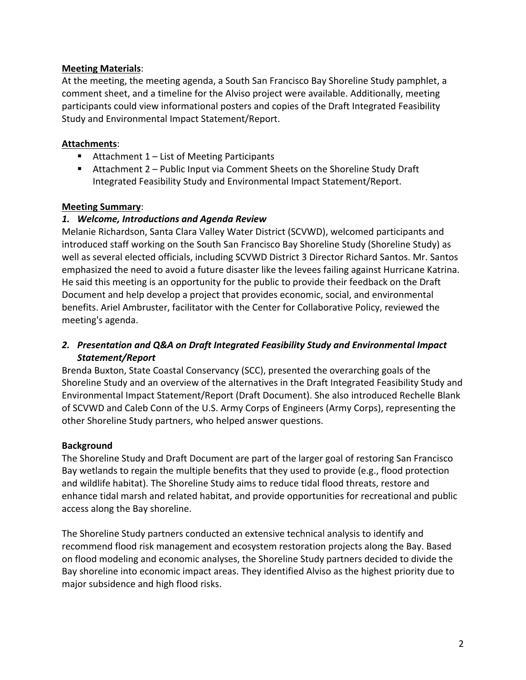## **Meeting Materials**:

At the meeting, the meeting agenda, a South San Francisco Bay Shoreline Study pamphlet, a comment sheet, and a timeline for the Alviso project were available. Additionally, meeting participants could view informational posters and copies of the Draft Integrated Feasibility Study and Environmental Impact Statement/Report.

### **Attachments**:

- Attachment  $1 -$  List of Meeting Participants
- **E** Attachment  $2$  Public Input via Comment Sheets on the Shoreline Study Draft Integrated Feasibility Study and Environmental Impact Statement/Report.

### **Meeting Summary**:

### *1. Welcome, Introductions and Agenda Review*

Melanie Richardson, Santa Clara Valley Water District (SCVWD), welcomed participants and introduced staff working on the South San Francisco Bay Shoreline Study (Shoreline Study) as well as several elected officials, including SCVWD District 3 Director Richard Santos. Mr. Santos emphasized the need to avoid a future disaster like the levees failing against Hurricane Katrina. He said this meeting is an opportunity for the public to provide their feedback on the Draft Document and help develop a project that provides economic, social, and environmental benefits. Ariel Ambruster, facilitator with the Center for Collaborative Policy, reviewed the meeting's agenda.

## 2. Presentation and Q&A on Draft Integrated Feasibility Study and *Environmental Impact Statement/Report*

Brenda Buxton, State Coastal Conservancy (SCC), presented the overarching goals of the Shoreline Study and an overview of the alternatives in the Draft Integrated Feasibility Study and Environmental Impact Statement/Report (Draft Document). She also introduced Rechelle Blank of SCVWD and Caleb Conn of the U.S. Army Corps of Engineers (Army Corps), representing the other Shoreline Study partners, who helped answer questions.

#### **Background**

The Shoreline Study and Draft Document are part of the larger goal of restoring San Francisco Bay wetlands to regain the multiple benefits that they used to provide (e.g., flood protection and wildlife habitat). The Shoreline Study aims to reduce tidal flood threats, restore and enhance tidal marsh and related habitat, and provide opportunities for recreational and public access along the Bay shoreline.

The Shoreline Study partners conducted an extensive technical analysis to identify and recommend flood risk management and ecosystem restoration projects along the Bay. Based on flood modeling and economic analyses, the Shoreline Study partners decided to divide the Bay shoreline into economic impact areas. They identified Alviso as the highest priority due to major subsidence and high flood risks.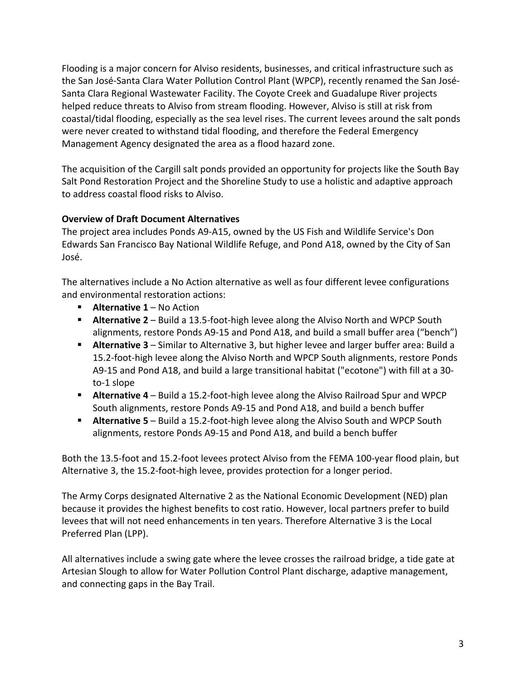Flooding is a major concern for Alviso residents, businesses, and critical infrastructure such as the San José-Santa Clara Water Pollution Control Plant (WPCP), recently renamed the San José-Santa Clara Regional Wastewater Facility. The Coyote Creek and Guadalupe River projects helped reduce threats to Alviso from stream flooding. However, Alviso is still at risk from coastal/tidal flooding, especially as the sea level rises. The current levees around the salt ponds were never created to withstand tidal flooding, and therefore the Federal Emergency Management Agency designated the area as a flood hazard zone.

The acquisition of the Cargill salt ponds provided an opportunity for projects like the South Bay Salt Pond Restoration Project and the Shoreline Study to use a holistic and adaptive approach to address coastal flood risks to Alviso.

# **Overview of Draft Document Alternatives**

The project area includes Ponds A9-A15, owned by the US Fish and Wildlife Service's Don Edwards San Francisco Bay National Wildlife Refuge, and Pond A18, owned by the City of San José. 

The alternatives include a No Action alternative as well as four different levee configurations and environmental restoration actions:

- **E** Alternative 1 No Action
- **E** Alternative 2 Build a 13.5-foot-high levee along the Alviso North and WPCP South alignments, restore Ponds A9-15 and Pond A18, and build a small buffer area ("bench")
- **E** Alternative 3 Similar to Alternative 3, but higher levee and larger buffer area: Build a 15.2-foot-high levee along the Alviso North and WPCP South alignments, restore Ponds A9-15 and Pond A18, and build a large transitional habitat ("ecotone") with fill at a 30to-1 slope
- **E** Alternative 4 Build a 15.2-foot-high levee along the Alviso Railroad Spur and WPCP South alignments, restore Ponds A9-15 and Pond A18, and build a bench buffer
- **E** Alternative 5 Build a 15.2-foot-high levee along the Alviso South and WPCP South alignments, restore Ponds A9-15 and Pond A18, and build a bench buffer

Both the 13.5-foot and 15.2-foot levees protect Alviso from the FEMA 100-year flood plain, but Alternative 3, the 15.2-foot-high levee, provides protection for a longer period.

The Army Corps designated Alternative 2 as the National Economic Development (NED) plan because it provides the highest benefits to cost ratio. However, local partners prefer to build levees that will not need enhancements in ten years. Therefore Alternative 3 is the Local Preferred Plan (LPP).

All alternatives include a swing gate where the levee crosses the railroad bridge, a tide gate at Artesian Slough to allow for Water Pollution Control Plant discharge, adaptive management, and connecting gaps in the Bay Trail.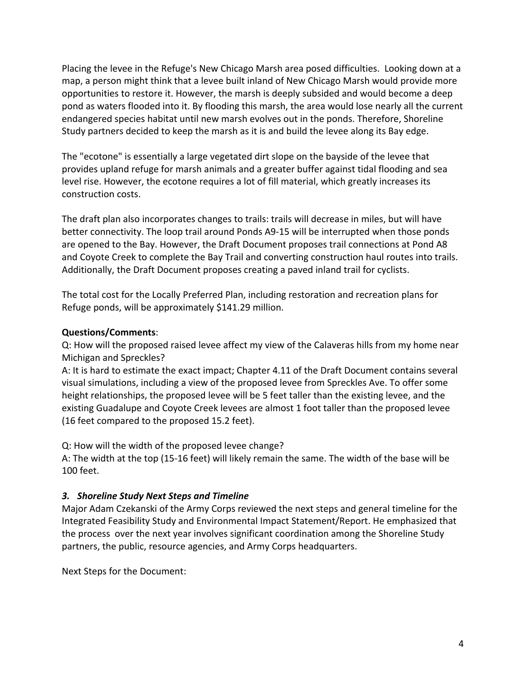Placing the levee in the Refuge's New Chicago Marsh area posed difficulties. Looking down at a map, a person might think that a levee built inland of New Chicago Marsh would provide more opportunities to restore it. However, the marsh is deeply subsided and would become a deep pond as waters flooded into it. By flooding this marsh, the area would lose nearly all the current endangered species habitat until new marsh evolves out in the ponds. Therefore, Shoreline Study partners decided to keep the marsh as it is and build the levee along its Bay edge.

The "ecotone" is essentially a large vegetated dirt slope on the bayside of the levee that provides upland refuge for marsh animals and a greater buffer against tidal flooding and sea level rise. However, the ecotone requires a lot of fill material, which greatly increases its construction costs.

The draft plan also incorporates changes to trails: trails will decrease in miles, but will have better connectivity. The loop trail around Ponds A9-15 will be interrupted when those ponds are opened to the Bay. However, the Draft Document proposes trail connections at Pond A8 and Coyote Creek to complete the Bay Trail and converting construction haul routes into trails. Additionally, the Draft Document proposes creating a paved inland trail for cyclists.

The total cost for the Locally Preferred Plan, including restoration and recreation plans for Refuge ponds, will be approximately \$141.29 million.

## **Questions/Comments**:

Q: How will the proposed raised levee affect my view of the Calaveras hills from my home near Michigan and Spreckles?

A: It is hard to estimate the exact impact; Chapter 4.11 of the Draft Document contains several visual simulations, including a view of the proposed levee from Spreckles Ave. To offer some height relationships, the proposed levee will be 5 feet taller than the existing levee, and the existing Guadalupe and Coyote Creek levees are almost 1 foot taller than the proposed levee (16 feet compared to the proposed 15.2 feet).

Q: How will the width of the proposed levee change?

A: The width at the top (15-16 feet) will likely remain the same. The width of the base will be 100 feet.

# *3. Shoreline Study Next Steps and Timeline*

Major Adam Czekanski of the Army Corps reviewed the next steps and general timeline for the Integrated Feasibility Study and Environmental Impact Statement/Report. He emphasized that the process over the next year involves significant coordination among the Shoreline Study partners, the public, resource agencies, and Army Corps headquarters.

Next Steps for the Document: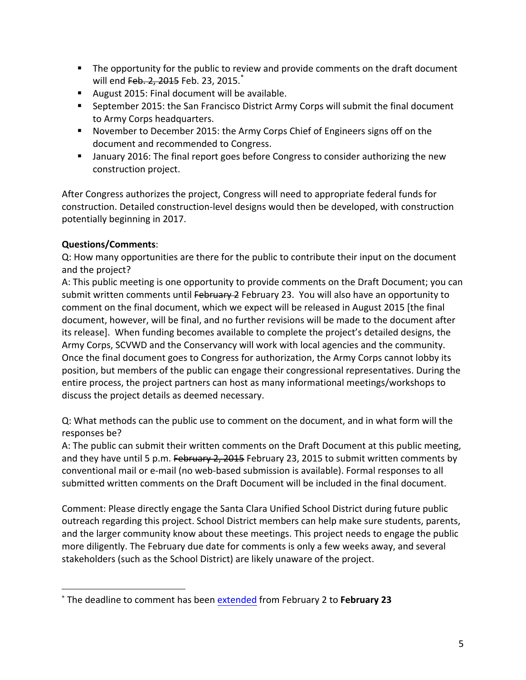- " The opportunity for the public to review and provide comments on the draft document will end Feb. 2, 2015 Feb. 23, 2015.<sup>\*</sup>
- August 2015: Final document will be available.
- **EXECOTE:** September 2015: the San Francisco District Army Corps will submit the final document to Army Corps headquarters.
- **.** November to December 2015: the Army Corps Chief of Engineers signs off on the document and recommended to Congress.
- **.** January 2016: The final report goes before Congress to consider authorizing the new construction project.

After Congress authorizes the project, Congress will need to appropriate federal funds for construction. Detailed construction-level designs would then be developed, with construction potentially beginning in 2017.

## **Questions/Comments**:

 

Q: How many opportunities are there for the public to contribute their input on the document and the project?

A: This public meeting is one opportunity to provide comments on the Draft Document; you can submit written comments until February 2 February 23. You will also have an opportunity to comment on the final document, which we expect will be released in August 2015 [the final document, however, will be final, and no further revisions will be made to the document after its release]. When funding becomes available to complete the project's detailed designs, the Army Corps, SCVWD and the Conservancy will work with local agencies and the community. Once the final document goes to Congress for authorization, the Army Corps cannot lobby its position, but members of the public can engage their congressional representatives. During the entire process, the project partners can host as many informational meetings/workshops to discuss the project details as deemed necessary.

Q: What methods can the public use to comment on the document, and in what form will the responses be?

A: The public can submit their written comments on the Draft Document at this public meeting, and they have until 5 p.m. February 2, 2015 February 23, 2015 to submit written comments by conventional mail or e-mail (no web-based submission is available). Formal responses to all submitted written comments on the Draft Document will be included in the final document.

Comment: Please directly engage the Santa Clara Unified School District during future public outreach regarding this project. School District members can help make sure students, parents, and the larger community know about these meetings. This project needs to engage the public more diligently. The February due date for comments is only a few weeks away, and several stakeholders (such as the School District) are likely unaware of the project.

<sup>\*</sup> The deadline to comment has been extended from February 2 to February 23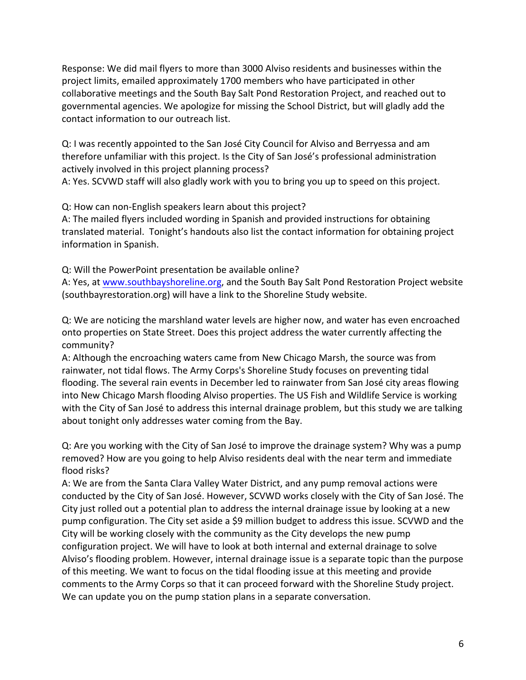Response: We did mail flyers to more than 3000 Alviso residents and businesses within the project limits, emailed approximately 1700 members who have participated in other collaborative meetings and the South Bay Salt Pond Restoration Project, and reached out to governmental agencies. We apologize for missing the School District, but will gladly add the contact information to our outreach list.

Q: I was recently appointed to the San José City Council for Alviso and Berryessa and am therefore unfamiliar with this project. Is the City of San José's professional administration actively involved in this project planning process?

A: Yes. SCVWD staff will also gladly work with you to bring you up to speed on this project.

Q: How can non-English speakers learn about this project?

A: The mailed flyers included wording in Spanish and provided instructions for obtaining translated material. Tonight's handouts also list the contact information for obtaining project information in Spanish.

Q: Will the PowerPoint presentation be available online?

A: Yes, at www.southbayshoreline.org, and the South Bay Salt Pond Restoration Project website (southbayrestoration.org) will have a link to the Shoreline Study website.

Q: We are noticing the marshland water levels are higher now, and water has even encroached onto properties on State Street. Does this project address the water currently affecting the community?

A: Although the encroaching waters came from New Chicago Marsh, the source was from rainwater, not tidal flows. The Army Corps's Shoreline Study focuses on preventing tidal flooding. The several rain events in December led to rainwater from San José city areas flowing into New Chicago Marsh flooding Alviso properties. The US Fish and Wildlife Service is working with the City of San José to address this internal drainage problem, but this study we are talking about tonight only addresses water coming from the Bay.

Q: Are you working with the City of San José to improve the drainage system? Why was a pump removed? How are you going to help Alviso residents deal with the near term and immediate flood risks?

A: We are from the Santa Clara Valley Water District, and any pump removal actions were conducted by the City of San José. However, SCVWD works closely with the City of San José. The City just rolled out a potential plan to address the internal drainage issue by looking at a new pump configuration. The City set aside a \$9 million budget to address this issue. SCVWD and the City will be working closely with the community as the City develops the new pump configuration project. We will have to look at both internal and external drainage to solve Alviso's flooding problem. However, internal drainage issue is a separate topic than the purpose of this meeting. We want to focus on the tidal flooding issue at this meeting and provide comments to the Army Corps so that it can proceed forward with the Shoreline Study project. We can update you on the pump station plans in a separate conversation.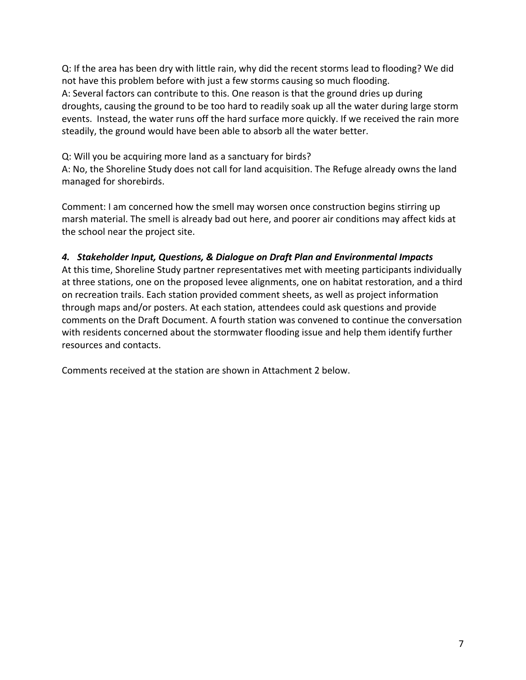Q: If the area has been dry with little rain, why did the recent storms lead to flooding? We did not have this problem before with just a few storms causing so much flooding. A: Several factors can contribute to this. One reason is that the ground dries up during droughts, causing the ground to be too hard to readily soak up all the water during large storm events. Instead, the water runs off the hard surface more quickly. If we received the rain more steadily, the ground would have been able to absorb all the water better.

Q: Will you be acquiring more land as a sanctuary for birds?

A: No, the Shoreline Study does not call for land acquisition. The Refuge already owns the land managed for shorebirds.

Comment: I am concerned how the smell may worsen once construction begins stirring up marsh material. The smell is already bad out here, and poorer air conditions may affect kids at the school near the project site.

## *4. Stakeholder Input, Questions, & Dialogue on Draft Plan and Environmental Impacts*

At this time, Shoreline Study partner representatives met with meeting participants individually at three stations, one on the proposed levee alignments, one on habitat restoration, and a third on recreation trails. Each station provided comment sheets, as well as project information through maps and/or posters. At each station, attendees could ask questions and provide comments on the Draft Document. A fourth station was convened to continue the conversation with residents concerned about the stormwater flooding issue and help them identify further resources and contacts.

Comments received at the station are shown in Attachment 2 below.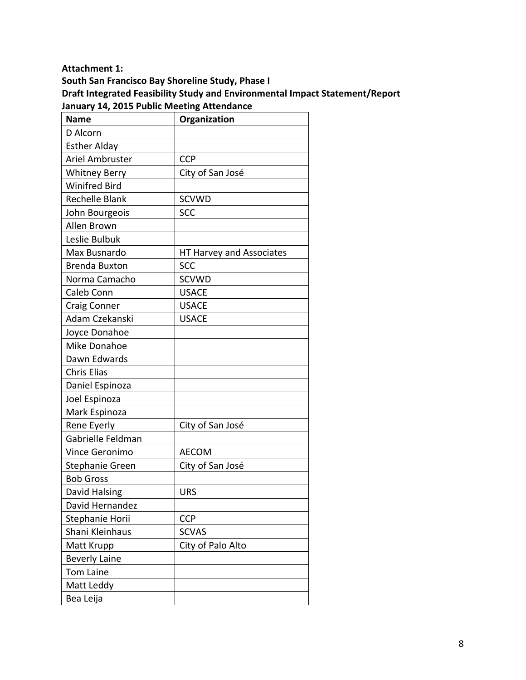#### **Attachment 1:**

South San Francisco Bay Shoreline Study, Phase I **Draft Integrated Feasibility Study and Environmental Impact Statement/Report** January 14, 2015 Public Meeting Attendance

| <b>Name</b>            | Organization             |
|------------------------|--------------------------|
| D Alcorn               |                          |
| <b>Esther Alday</b>    |                          |
| Ariel Ambruster        | <b>CCP</b>               |
| <b>Whitney Berry</b>   | City of San José         |
| <b>Winifred Bird</b>   |                          |
| <b>Rechelle Blank</b>  | <b>SCVWD</b>             |
| John Bourgeois         | <b>SCC</b>               |
| Allen Brown            |                          |
| Leslie Bulbuk          |                          |
| Max Busnardo           | HT Harvey and Associates |
| <b>Brenda Buxton</b>   | <b>SCC</b>               |
| Norma Camacho          | <b>SCVWD</b>             |
| Caleb Conn             | <b>USACE</b>             |
| <b>Craig Conner</b>    | <b>USACE</b>             |
| Adam Czekanski         | <b>USACE</b>             |
| Joyce Donahoe          |                          |
| Mike Donahoe           |                          |
| Dawn Edwards           |                          |
| <b>Chris Elias</b>     |                          |
| Daniel Espinoza        |                          |
| Joel Espinoza          |                          |
| Mark Espinoza          |                          |
| Rene Eyerly            | City of San José         |
| Gabrielle Feldman      |                          |
| <b>Vince Geronimo</b>  | <b>AECOM</b>             |
| <b>Stephanie Green</b> | City of San José         |
| <b>Bob Gross</b>       |                          |
| David Halsing          | <b>URS</b>               |
| David Hernandez        |                          |
| Stephanie Horii        | <b>CCP</b>               |
| Shani Kleinhaus        | <b>SCVAS</b>             |
| Matt Krupp             | City of Palo Alto        |
| <b>Beverly Laine</b>   |                          |
| <b>Tom Laine</b>       |                          |
| Matt Leddy             |                          |
| Bea Leija              |                          |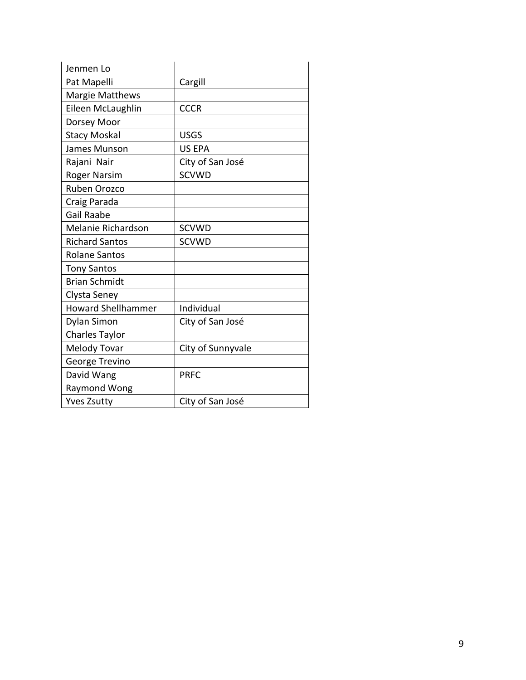| Jenmen Lo                 |                   |
|---------------------------|-------------------|
| Pat Mapelli               | Cargill           |
| <b>Margie Matthews</b>    |                   |
| Eileen McLaughlin         | <b>CCCR</b>       |
| Dorsey Moor               |                   |
| <b>Stacy Moskal</b>       | <b>USGS</b>       |
| James Munson              | <b>US EPA</b>     |
| Rajani Nair               | City of San José  |
| <b>Roger Narsim</b>       | <b>SCVWD</b>      |
| Ruben Orozco              |                   |
| Craig Parada              |                   |
| <b>Gail Raabe</b>         |                   |
| Melanie Richardson        | <b>SCVWD</b>      |
| <b>Richard Santos</b>     | <b>SCVWD</b>      |
| <b>Rolane Santos</b>      |                   |
| <b>Tony Santos</b>        |                   |
| <b>Brian Schmidt</b>      |                   |
| Clysta Seney              |                   |
| <b>Howard Shellhammer</b> | Individual        |
| Dylan Simon               | City of San José  |
| Charles Taylor            |                   |
| Melody Tovar              | City of Sunnyvale |
| George Trevino            |                   |
| David Wang                | <b>PRFC</b>       |
| Raymond Wong              |                   |
| <b>Yves Zsutty</b>        | City of San José  |